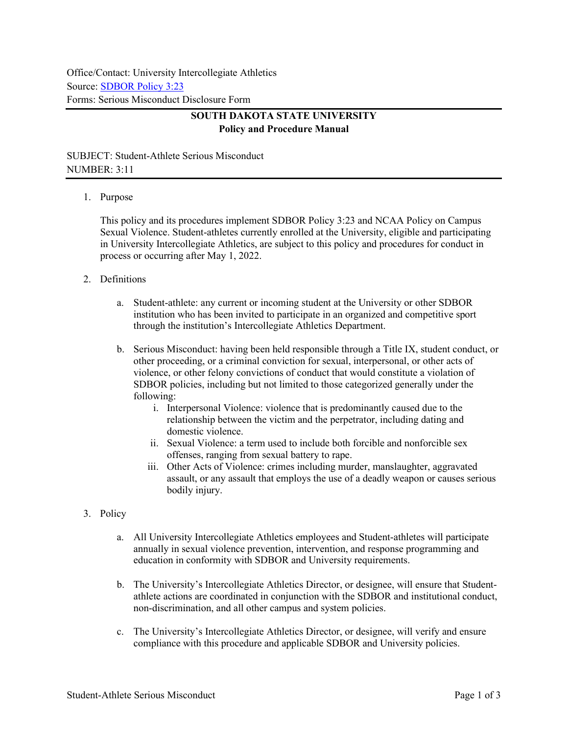Office/Contact: University Intercollegiate Athletics Source: [SDBOR Policy 3:23](https://www.sdbor.edu/policy/Documents/3-23.pdf) Forms: Serious Misconduct Disclosure Form

## **SOUTH DAKOTA STATE UNIVERSITY Policy and Procedure Manual**

SUBJECT: Student-Athlete Serious Misconduct NUMBER: 3:11

## 1. Purpose

This policy and its procedures implement SDBOR Policy 3:23 and NCAA Policy on Campus Sexual Violence. Student-athletes currently enrolled at the University, eligible and participating in University Intercollegiate Athletics, are subject to this policy and procedures for conduct in process or occurring after May 1, 2022.

- 2. Definitions
	- a. Student-athlete: any current or incoming student at the University or other SDBOR institution who has been invited to participate in an organized and competitive sport through the institution's Intercollegiate Athletics Department.
	- b. Serious Misconduct: having been held responsible through a Title IX, student conduct, or other proceeding, or a criminal conviction for sexual, interpersonal, or other acts of violence, or other felony convictions of conduct that would constitute a violation of SDBOR policies, including but not limited to those categorized generally under the following:
		- i. Interpersonal Violence: violence that is predominantly caused due to the relationship between the victim and the perpetrator, including dating and domestic violence.
		- ii. Sexual Violence: a term used to include both forcible and nonforcible sex offenses, ranging from sexual battery to rape.
		- iii. Other Acts of Violence: crimes including murder, manslaughter, aggravated assault, or any assault that employs the use of a deadly weapon or causes serious bodily injury.
- 3. Policy
	- a. All University Intercollegiate Athletics employees and Student-athletes will participate annually in sexual violence prevention, intervention, and response programming and education in conformity with SDBOR and University requirements.
	- b. The University's Intercollegiate Athletics Director, or designee, will ensure that Studentathlete actions are coordinated in conjunction with the SDBOR and institutional conduct, non-discrimination, and all other campus and system policies.
	- c. The University's Intercollegiate Athletics Director, or designee, will verify and ensure compliance with this procedure and applicable SDBOR and University policies.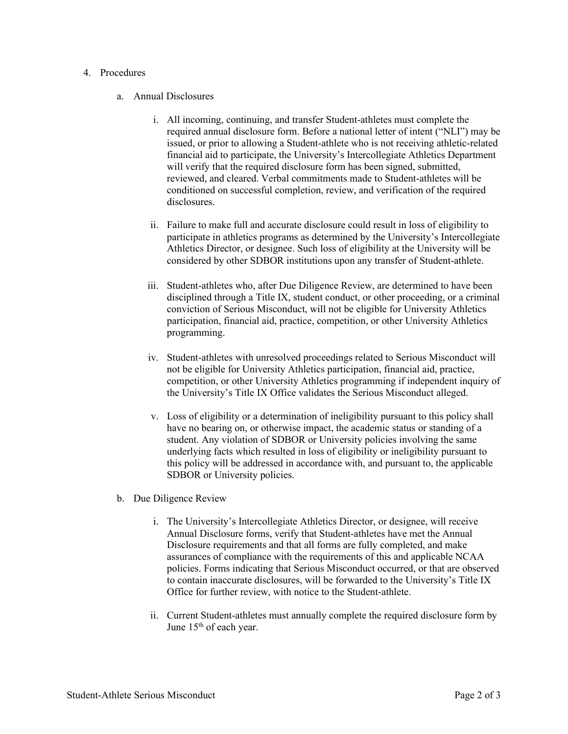## 4. Procedures

## a. Annual Disclosures

- i. All incoming, continuing, and transfer Student-athletes must complete the required annual disclosure form. Before a national letter of intent ("NLI") may be issued, or prior to allowing a Student-athlete who is not receiving athletic-related financial aid to participate, the University's Intercollegiate Athletics Department will verify that the required disclosure form has been signed, submitted, reviewed, and cleared. Verbal commitments made to Student-athletes will be conditioned on successful completion, review, and verification of the required disclosures.
- ii. Failure to make full and accurate disclosure could result in loss of eligibility to participate in athletics programs as determined by the University's Intercollegiate Athletics Director, or designee. Such loss of eligibility at the University will be considered by other SDBOR institutions upon any transfer of Student-athlete.
- iii. Student-athletes who, after Due Diligence Review, are determined to have been disciplined through a Title IX, student conduct, or other proceeding, or a criminal conviction of Serious Misconduct, will not be eligible for University Athletics participation, financial aid, practice, competition, or other University Athletics programming.
- iv. Student-athletes with unresolved proceedings related to Serious Misconduct will not be eligible for University Athletics participation, financial aid, practice, competition, or other University Athletics programming if independent inquiry of the University's Title IX Office validates the Serious Misconduct alleged.
- v. Loss of eligibility or a determination of ineligibility pursuant to this policy shall have no bearing on, or otherwise impact, the academic status or standing of a student. Any violation of SDBOR or University policies involving the same underlying facts which resulted in loss of eligibility or ineligibility pursuant to this policy will be addressed in accordance with, and pursuant to, the applicable SDBOR or University policies.
- b. Due Diligence Review
	- i. The University's Intercollegiate Athletics Director, or designee, will receive Annual Disclosure forms, verify that Student-athletes have met the Annual Disclosure requirements and that all forms are fully completed, and make assurances of compliance with the requirements of this and applicable NCAA policies. Forms indicating that Serious Misconduct occurred, or that are observed to contain inaccurate disclosures, will be forwarded to the University's Title IX Office for further review, with notice to the Student-athlete.
	- ii. Current Student-athletes must annually complete the required disclosure form by June 15<sup>th</sup> of each year.